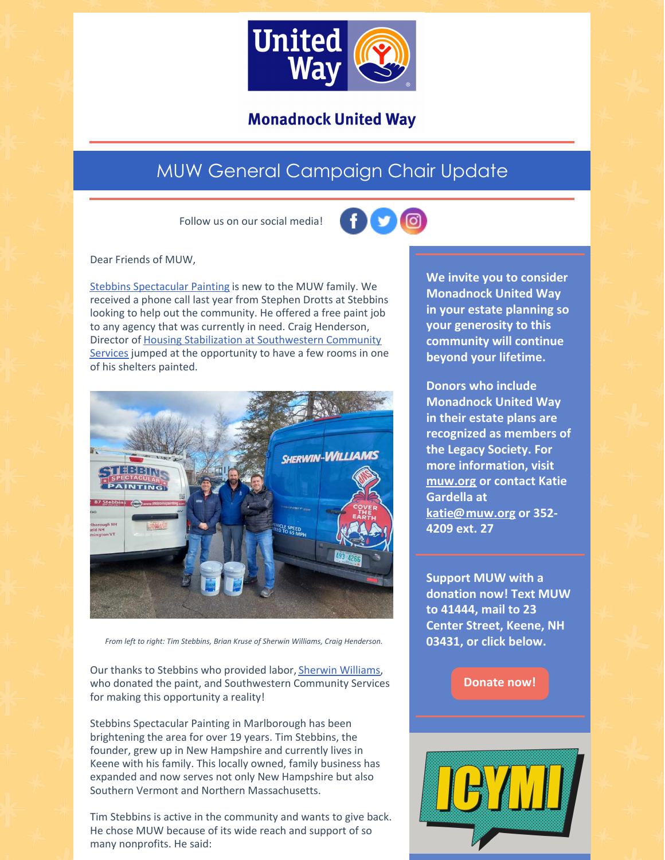

### **Monadnock United Way**

## MUW General Campaign Chair Update

Follow us on our social media!



Dear Friends of MUW,

Stebbins [Spectacular](https://www.stebbinspainting.com) Painting is new to the MUW family. We received a phone call last year from Stephen Drotts at Stebbins looking to help out the community. He offered a free paint job to any agency that was currently in need. Craig Henderson, Director of Housing Stabilization at [Southwestern](https://www.scshelps.org/housing-stabilization-services/) Community Services jumped at the opportunity to have a few rooms in one of his shelters painted.



*From left to right: Tim Stebbins, Brian Kruse of Sherwin Williams, Craig Henderson.*

Our thanks to Stebbins who provided labor, Sherwin [Williams](https://www.sherwin-williams.com/store-locator/paint-store/keene/nh/705289?fbclid=IwAR3Y1URDWbBkNVrfineuv3d3VffLWQZ9SGGnIoZ2rfkMZp7m-YoXBew07NE), who donated the paint, and Southwestern Community Services for making this opportunity a reality!

Stebbins Spectacular Painting in Marlborough has been brightening the area for over 19 years. Tim Stebbins, the founder, grew up in New Hampshire and currently lives in Keene with his family. This locally owned, family business has expanded and now serves not only New Hampshire but also Southern Vermont and Northern Massachusetts.

Tim Stebbins is active in the community and wants to give back. He chose MUW because of its wide reach and support of so many nonprofits. He said:

**We invite you to consider Monadnock United Way in your estate planning so your generosity to this community will continue beyond your lifetime.**

**Donors who include Monadnock United Way in their estate plans are recognized as members of the Legacy Society. For more information, visit [muw.org](https://www.muw.org/planned-giving) or contact Katie Gardella at [katie@muw.org](mailto:katie@muw.org) or 352- 4209 ext. 27**

**Support MUW with a donation now! Text MUW to 41444, mail to 23 Center Street, Keene, NH 03431, or click below.**

**[Donate](https://app.mobilecause.com/form/ZRKvlQ?reset=1&%253Bid=1&vid=oi7n5) now!**